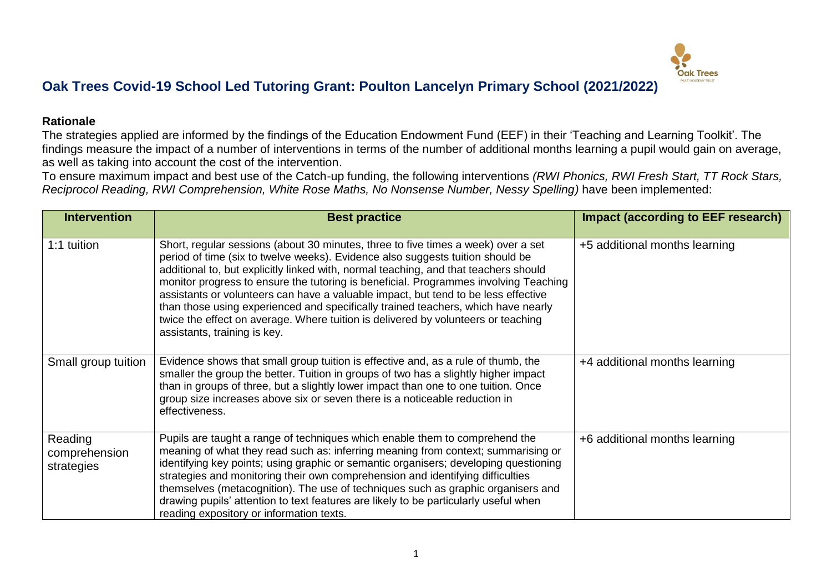

## **Oak Trees Covid-19 School Led Tutoring Grant: Poulton Lancelyn Primary School (2021/2022)**

## **Rationale**

The strategies applied are informed by the findings of the Education Endowment Fund (EEF) in their 'Teaching and Learning Toolkit'. The findings measure the impact of a number of interventions in terms of the number of additional months learning a pupil would gain on average, as well as taking into account the cost of the intervention.

To ensure maximum impact and best use of the Catch-up funding, the following interventions *(RWI Phonics, RWI Fresh Start, TT Rock Stars, Reciprocol Reading, RWI Comprehension, White Rose Maths, No Nonsense Number, Nessy Spelling)* have been implemented:

| <b>Intervention</b>                    | <b>Best practice</b>                                                                                                                                                                                                                                                                                                                                                                                                                                                                                                                                                                                                                                | <b>Impact (according to EEF research)</b> |
|----------------------------------------|-----------------------------------------------------------------------------------------------------------------------------------------------------------------------------------------------------------------------------------------------------------------------------------------------------------------------------------------------------------------------------------------------------------------------------------------------------------------------------------------------------------------------------------------------------------------------------------------------------------------------------------------------------|-------------------------------------------|
| 1:1 tuition                            | Short, regular sessions (about 30 minutes, three to five times a week) over a set<br>period of time (six to twelve weeks). Evidence also suggests tuition should be<br>additional to, but explicitly linked with, normal teaching, and that teachers should<br>monitor progress to ensure the tutoring is beneficial. Programmes involving Teaching<br>assistants or volunteers can have a valuable impact, but tend to be less effective<br>than those using experienced and specifically trained teachers, which have nearly<br>twice the effect on average. Where tuition is delivered by volunteers or teaching<br>assistants, training is key. | +5 additional months learning             |
| Small group tuition                    | Evidence shows that small group tuition is effective and, as a rule of thumb, the<br>smaller the group the better. Tuition in groups of two has a slightly higher impact<br>than in groups of three, but a slightly lower impact than one to one tuition. Once<br>group size increases above six or seven there is a noticeable reduction in<br>effectiveness.                                                                                                                                                                                                                                                                                      | +4 additional months learning             |
| Reading<br>comprehension<br>strategies | Pupils are taught a range of techniques which enable them to comprehend the<br>meaning of what they read such as: inferring meaning from context; summarising or<br>identifying key points; using graphic or semantic organisers; developing questioning<br>strategies and monitoring their own comprehension and identifying difficulties<br>themselves (metacognition). The use of techniques such as graphic organisers and<br>drawing pupils' attention to text features are likely to be particularly useful when<br>reading expository or information texts.                                                                                  | +6 additional months learning             |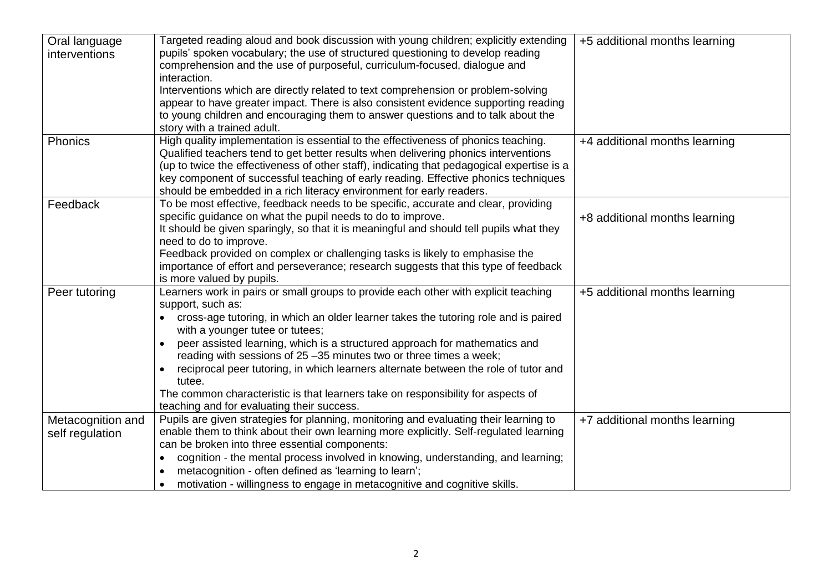| Oral language<br>interventions       | Targeted reading aloud and book discussion with young children; explicitly extending<br>pupils' spoken vocabulary; the use of structured questioning to develop reading<br>comprehension and the use of purposeful, curriculum-focused, dialogue and<br>interaction.<br>Interventions which are directly related to text comprehension or problem-solving<br>appear to have greater impact. There is also consistent evidence supporting reading<br>to young children and encouraging them to answer questions and to talk about the                                                                                      | +5 additional months learning |
|--------------------------------------|---------------------------------------------------------------------------------------------------------------------------------------------------------------------------------------------------------------------------------------------------------------------------------------------------------------------------------------------------------------------------------------------------------------------------------------------------------------------------------------------------------------------------------------------------------------------------------------------------------------------------|-------------------------------|
|                                      | story with a trained adult.                                                                                                                                                                                                                                                                                                                                                                                                                                                                                                                                                                                               |                               |
| Phonics                              | High quality implementation is essential to the effectiveness of phonics teaching.<br>Qualified teachers tend to get better results when delivering phonics interventions<br>(up to twice the effectiveness of other staff), indicating that pedagogical expertise is a<br>key component of successful teaching of early reading. Effective phonics techniques<br>should be embedded in a rich literacy environment for early readers.                                                                                                                                                                                    | +4 additional months learning |
| Feedback                             | To be most effective, feedback needs to be specific, accurate and clear, providing<br>specific guidance on what the pupil needs to do to improve.<br>It should be given sparingly, so that it is meaningful and should tell pupils what they<br>need to do to improve.<br>Feedback provided on complex or challenging tasks is likely to emphasise the<br>importance of effort and perseverance; research suggests that this type of feedback<br>is more valued by pupils.                                                                                                                                                | +8 additional months learning |
| Peer tutoring                        | Learners work in pairs or small groups to provide each other with explicit teaching<br>support, such as:<br>cross-age tutoring, in which an older learner takes the tutoring role and is paired<br>with a younger tutee or tutees;<br>peer assisted learning, which is a structured approach for mathematics and<br>reading with sessions of 25 -35 minutes two or three times a week;<br>reciprocal peer tutoring, in which learners alternate between the role of tutor and<br>tutee.<br>The common characteristic is that learners take on responsibility for aspects of<br>teaching and for evaluating their success. | +5 additional months learning |
| Metacognition and<br>self regulation | Pupils are given strategies for planning, monitoring and evaluating their learning to<br>enable them to think about their own learning more explicitly. Self-regulated learning<br>can be broken into three essential components:<br>cognition - the mental process involved in knowing, understanding, and learning;<br>metacognition - often defined as 'learning to learn';<br>motivation - willingness to engage in metacognitive and cognitive skills.                                                                                                                                                               | +7 additional months learning |